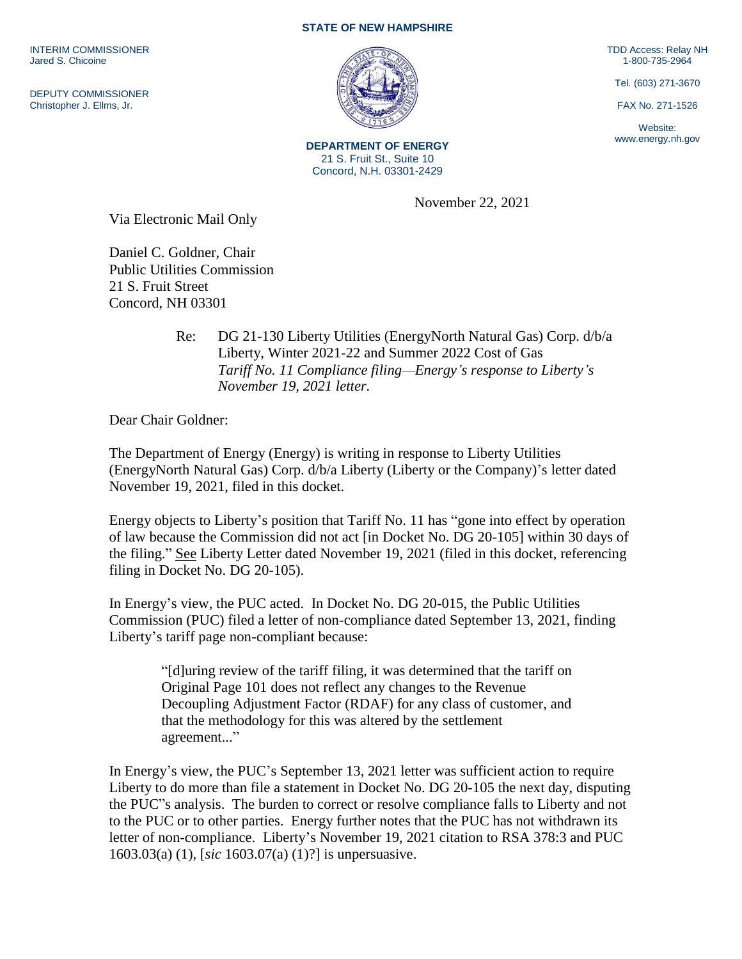INTERIM COMMISSIONER Jared S. Chicoine

DEPUTY COMMISSIONER Christopher J. Ellms, Jr.

## **STATE OF NEW HAMPSHIRE**

TDD Access: Relay NH 1-800-735-2964

Tel. (603) 271-3670

FAX No. 271-1526

Website: www.energy.nh.gov

**DEPARTMENT OF ENERGY** 21 S. Fruit St., Suite 10 Concord, N.H. 03301-2429

November 22, 2021

Via Electronic Mail Only

Daniel C. Goldner, Chair Public Utilities Commission 21 S. Fruit Street Concord, NH 03301

> Re: DG 21-130 Liberty Utilities (EnergyNorth Natural Gas) Corp. d/b/a Liberty, Winter 2021-22 and Summer 2022 Cost of Gas *Tariff No. 11 Compliance filing—Energy's response to Liberty's November 19, 2021 letter.*

Dear Chair Goldner:

The Department of Energy (Energy) is writing in response to Liberty Utilities (EnergyNorth Natural Gas) Corp. d/b/a Liberty (Liberty or the Company)'s letter dated November 19, 2021, filed in this docket.

Energy objects to Liberty's position that Tariff No. 11 has "gone into effect by operation of law because the Commission did not act [in Docket No. DG 20-105] within 30 days of the filing." See Liberty Letter dated November 19, 2021 (filed in this docket, referencing filing in Docket No. DG 20-105).

In Energy's view, the PUC acted. In Docket No. DG 20-015, the Public Utilities Commission (PUC) filed a letter of non-compliance dated September 13, 2021, finding Liberty's tariff page non-compliant because:

"[d]uring review of the tariff filing, it was determined that the tariff on Original Page 101 does not reflect any changes to the Revenue Decoupling Adjustment Factor (RDAF) for any class of customer, and that the methodology for this was altered by the settlement agreement..."

In Energy's view, the PUC's September 13, 2021 letter was sufficient action to require Liberty to do more than file a statement in Docket No. DG 20-105 the next day, disputing the PUC"s analysis. The burden to correct or resolve compliance falls to Liberty and not to the PUC or to other parties. Energy further notes that the PUC has not withdrawn its letter of non-compliance. Liberty's November 19, 2021 citation to RSA 378:3 and PUC 1603.03(a) (1), [*sic* 1603.07(a) (1)?] is unpersuasive.